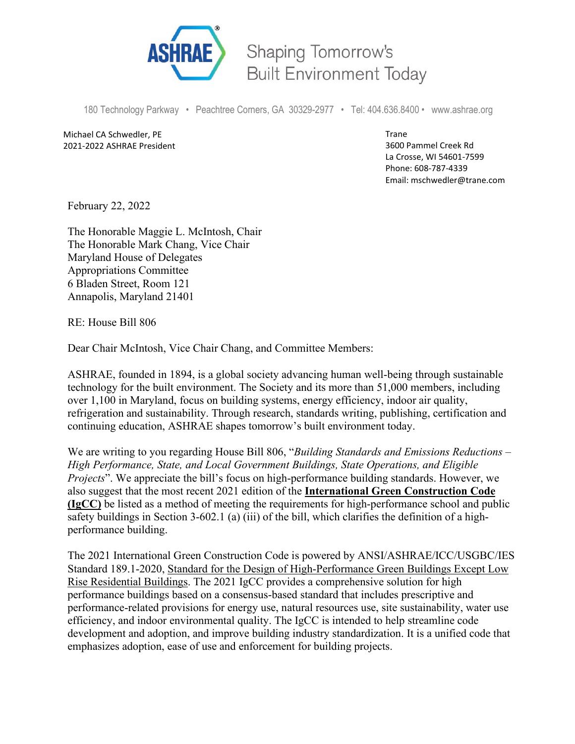

Shaping Tomorrow's **Built Environment Today** 

180 Technology Parkway • Peachtree Corners, GA 30329-2977 • Tel: 404.636.8400 • www.ashrae.org

Michael CA Schwedler, PE 2021-2022 ASHRAE President Trane 3600 Pammel Creek Rd La Crosse, WI 54601-7599 Phone: 608-787-4339 Email: mschwedler@trane.com

February 22, 2022

The Honorable Maggie L. McIntosh, Chair The Honorable Mark Chang, Vice Chair Maryland House of Delegates Appropriations Committee 6 Bladen Street, Room 121 Annapolis, Maryland 21401

RE: House Bill 806

Dear Chair McIntosh, Vice Chair Chang, and Committee Members:

ASHRAE, founded in 1894, is a global society advancing human well-being through sustainable technology for the built environment. The Society and its more than 51,000 members, including over 1,100 in Maryland, focus on building systems, energy efficiency, indoor air quality, refrigeration and sustainability. Through research, standards writing, publishing, certification and continuing education, ASHRAE shapes tomorrow's built environment today.

We are writing to you regarding House Bill 806, "*Building Standards and Emissions Reductions – High Performance, State, and Local Government Buildings, State Operations, and Eligible Projects*". We appreciate the bill's focus on high-performance building standards. However, we also suggest that the most recent 2021 edition of the **International Green Construction Code (IgCC)** be listed as a method of meeting the requirements for high-performance school and public safety buildings in Section 3-602.1 (a) (iii) of the bill, which clarifies the definition of a highperformance building.

The 2021 International Green Construction Code is powered by ANSI/ASHRAE/ICC/USGBC/IES Standard 189.1-2020, Standard for the Design of High-Performance Green Buildings Except Low Rise Residential Buildings. The 2021 IgCC provides a comprehensive solution for high performance buildings based on a consensus-based standard that includes prescriptive and performance-related provisions for energy use, natural resources use, site sustainability, water use efficiency, and indoor environmental quality. The IgCC is intended to help streamline code development and adoption, and improve building industry standardization. It is a unified code that emphasizes adoption, ease of use and enforcement for building projects.